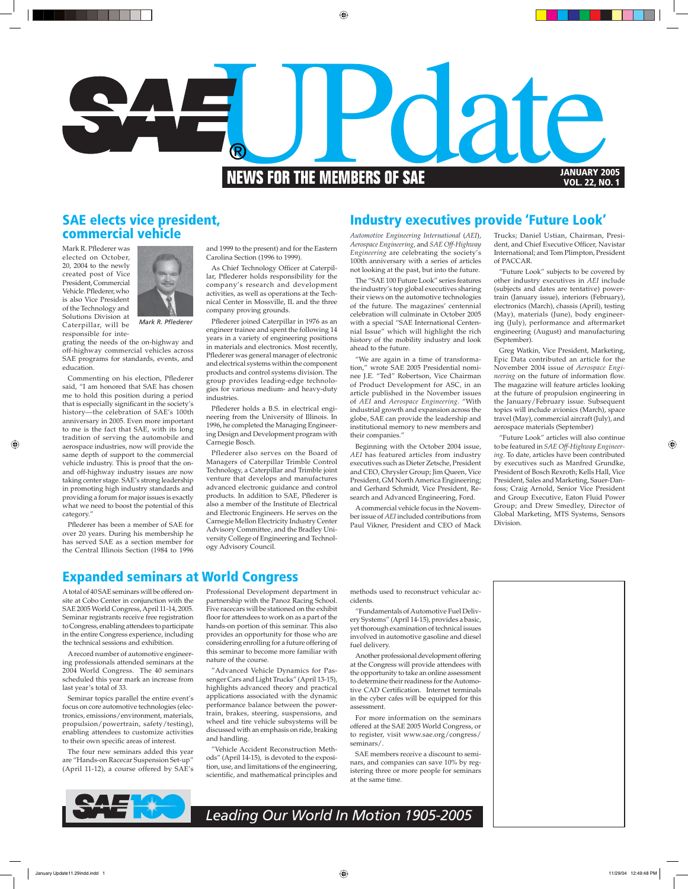

### **SAE elects vice president, commercial vehicle**

Mark R. Pflederer was elected on October, 20, 2004 to the newly created post of Vice President, Commercial Vehicle. Pflederer, who is also Vice President of the Technology and Solutions Division at Caterpillar, will be responsible for inte-



*Mark R. Pfl ederer*

grating the needs of the on-highway and off-highway commercial vehicles across SAE programs for standards, events, and education.

Commenting on his election, Pflederer said, "I am honored that SAE has chosen me to hold this position during a period that is especially significant in the society's history—the celebration of SAE's 100th anniversary in 2005. Even more important to me is the fact that SAE, with its long tradition of serving the automobile and aerospace industries, now will provide the same depth of support to the commercial vehicle industry. This is proof that the onand off-highway industry issues are now taking center stage. SAE's strong leadership in promoting high industry standards and providing a forum for major issues is exactly what we need to boost the potential of this category."

Pflederer has been a member of SAE for over 20 years. During his membership he has served SAE as a section member for the Central Illinois Section (1984 to 1996 and 1999 to the present) and for the Eastern Carolina Section (1996 to 1999).

As Chief Technology Officer at Caterpillar, Pflederer holds responsibility for the company's research and development activities, as well as operations at the Technical Center in Mossville, IL and the three company proving grounds.

Pflederer joined Caterpillar in 1976 as an engineer trainee and spent the following 14 years in a variety of engineering positions in materials and electronics. Most recently, Pflederer was general manager of electronic and electrical systems within the component products and control systems division. The group provides leading-edge technologies for various medium- and heavy-duty industries.

Pflederer holds a B.S. in electrical engineering from the University of Illinois. In 1996, he completed the Managing Engineering Design and Development program with Carnegie Bosch.

Pflederer also serves on the Board of Managers of Caterpillar Trimble Control Technology, a Caterpillar and Trimble joint venture that develops and manufactures advanced electronic guidance and control products. In addition to SAE, Pflederer is also a member of the Institute of Electrical and Electronic Engineers. He serves on the Carnegie Mellon Electricity Industry Center Advisory Committee, and the Bradley University College of Engineering and Technology Advisory Council.

## **Industry executives provide 'Future Look'**

*Automotive Engineering International* (*AEI*), *Aerospace Engineering*, and *SAE Off-Highway Engineering* are celebrating the society's 100th anniversary with a series of articles not looking at the past, but into the future.

The "SAE 100 Future Look" series features the industry's top global executives sharing their views on the automotive technologies of the future. The magazines' centennial celebration will culminate in October 2005 with a special "SAE International Centennial Issue" which will highlight the rich history of the mobility industry and look ahead to the future.

"We are again in a time of transformation," wrote SAE 2005 Presidential nominee J.E. "Ted" Robertson, Vice Chairman of Product Development for ASC, in an article published in the November issues of *AEI* and *Aerospace Engineering*. "With industrial growth and expansion across the globe, SAE can provide the leadership and institutional memory to new members and their companies."

Beginning with the October 2004 issue, *AEI* has featured articles from industry executives such as Dieter Zetsche, President and CEO, Chrysler Group; Jim Queen, Vice President, GM North America Engineering; and Gerhard Schmidt, Vice President, Research and Advanced Engineering, Ford.

A commercial vehicle focus in the November issue of *AEI* included contributions from Paul Vikner, President and CEO of Mack

Trucks; Daniel Ustian, Chairman, President, and Chief Executive Officer, Navistar International; and Tom Plimpton, President of PACCAR.

"Future Look" subjects to be covered by other industry executives in *AEI* include (subjects and dates are tentative) powertrain (January issue), interiors (February), electronics (March), chassis (April), testing (May), materials (June), body engineering (July), performance and aftermarket engineering (August) and manufacturing (September).

Greg Watkin, Vice President, Marketing, Epic Data contributed an article for the November 2004 issue of *Aerospace Engineering* on the future of information flow. The magazine will feature articles looking at the future of propulsion engineering in the January/February issue. Subsequent topics will include avionics (March), space travel (May), commercial aircraft (July), and aerospace materials (September)

"Future Look" articles will also continue to be featured in *SAE Off-Highway Engineering*. To date, articles have been contributed by executives such as Manfred Grundke, President of Bosch Rexroth; Kells Hall, Vice President, Sales and Marketing, Sauer-Danfoss; Craig Arnold, Senior Vice President and Group Executive, Eaton Fluid Power Group; and Drew Smedley, Director of Global Marketing, MTS Systems, Sensors Division.

## **Expanded seminars at World Congress**

A total of 40 SAE seminars will be offered onsite at Cobo Center in conjunction with the SAE 2005 World Congress, April 11-14, 2005. Seminar registrants receive free registration to Congress, enabling attendees to participate in the entire Congress experience, including the technical sessions and exhibition.

A record number of automotive engineering professionals attended seminars at the 2004 World Congress. The 40 seminars scheduled this year mark an increase from last year's total of 33.

Seminar topics parallel the entire event's focus on core automotive technologies (electronics, emissions/environment, materials, propulsion/powertrain, safety/testing), enabling attendees to customize activities to their own specific areas of interest.

The four new seminars added this year are "Hands-on Racecar Suspension Set-up" (April 11-12), a course offered by SAE's Professional Development department in partnership with the Panoz Racing School. Five racecars will be stationed on the exhibit floor for attendees to work on as a part of the hands-on portion of this seminar. This also provides an opportunity for those who are considering enrolling for a future offering of this seminar to become more familiar with nature of the course.

"Advanced Vehicle Dynamics for Passenger Cars and Light Trucks" (April 13-15), highlights advanced theory and practical applications associated with the dynamic performance balance between the powertrain, brakes, steering, suspensions, and wheel and tire vehicle subsystems will be discussed with an emphasis on ride, braking and handling.

"Vehicle Accident Reconstruction Methods" (April 14-15), is devoted to the exposition, use, and limitations of the engineering, scientific, and mathematical principles and methods used to reconstruct vehicular accidents.

"Fundamentals of Automotive Fuel Delivery Systems" (April 14-15), provides a basic, yet thorough examination of technical issues involved in automotive gasoline and diesel fuel delivery.

Another professional development offering at the Congress will provide attendees with the opportunity to take an online assessment to determine their readiness for the Automotive CAD Certification. Internet terminals in the cyber cafes will be equipped for this assessment.

For more information on the seminars offered at the SAE 2005 World Congress, or to register, visit www.sae.org/congress/ seminars/.

SAE members receive a discount to seminars, and companies can save 10% by registering three or more people for seminars at the same time.



*Leading Our World In Motion 1905-2005*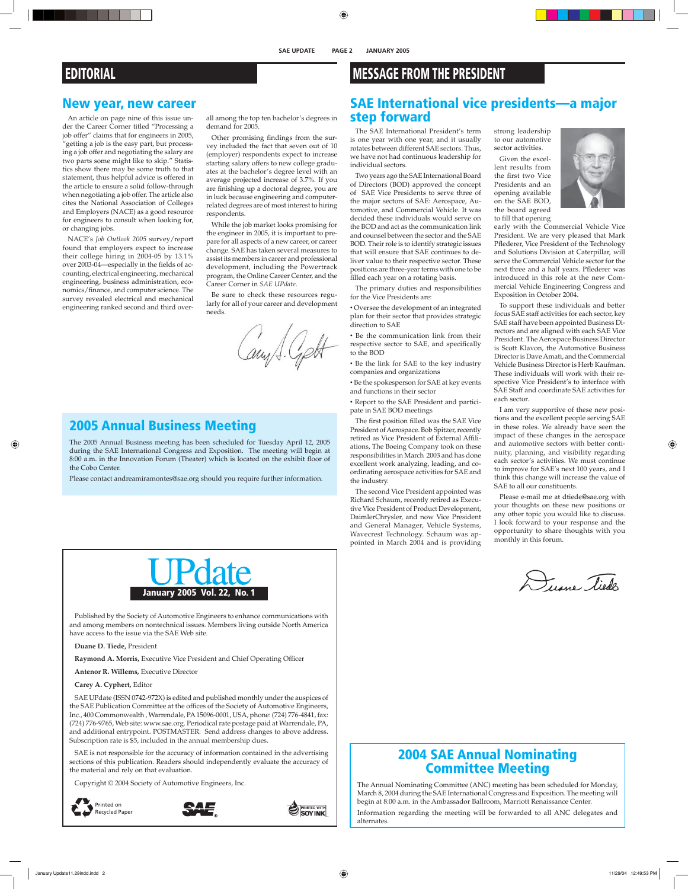#### **SAE UPDATE PAGE 2 JANUARY 2005**

## **EDITORIAL**

### **New year, new career**

An article on page nine of this issue under the Career Corner titled "Processing a job offer" claims that for engineers in 2005, "getting a job is the easy part, but processing a job offer and negotiating the salary are two parts some might like to skip." Statistics show there may be some truth to that statement, thus helpful advice is offered in the article to ensure a solid follow-through when negotiating a job offer. The article also cites the National Association of Colleges and Employers (NACE) as a good resource for engineers to consult when looking for, or changing jobs.

NACE's *Job Outlook 2005* survey/report found that employers expect to increase their college hiring in 2004-05 by 13.1% over 2003-04—especially in the fields of accounting, electrical engineering, mechanical engineering, business administration, economics/finance, and computer science. The survey revealed electrical and mechanical engineering ranked second and third over-

all among the top ten bachelor's degrees in demand for 2005.

Other promising findings from the survey included the fact that seven out of 10 (employer) respondents expect to increase starting salary offers to new college graduates at the bachelor's degree level with an average projected increase of 3.7%. If you are finishing up a doctoral degree, you are in luck because engineering and computerrelated degrees are of most interest to hiring respondents.

While the job market looks promising for the engineer in 2005, it is important to prepare for all aspects of a new career, or career change. SAE has taken several measures to assist its members in career and professional development, including the Powertrack program, the Online Career Center, and the Career Corner in *SAE UPdate*.

Be sure to check these resources regularly for all of your career and development needs.

Cary J. Czett

## **2005 Annual Business Meeting**

The 2005 Annual Business meeting has been scheduled for Tuesday April 12, 2005 during the SAE International Congress and Exposition. The meeting will begin at 8:00 a.m. in the Innovation Forum (Theater) which is located on the exhibit floor of the Cobo Center.

Please contact andreamiramontes@sae.org should you require further information.



Published by the Society of Automotive Engineers to enhance communications with and among members on nontechnical issues. Members living outside North America have access to the issue via the SAE Web site.

**Duane D. Tiede,** President

Raymond A. Morris, Executive Vice President and Chief Operating Officer

**Antenor R. Willems,** Executive Director

**Carey A. Cyphert,** Editor

SAE UPdate (ISSN 0742-972X) is edited and published monthly under the auspices of the SAE Publication Committee at the offices of the Society of Automotive Engineers, Inc., 400 Commonwealth , Warrendale, PA 15096-0001, USA, phone: (724) 776-4841, fax: (724) 776-9765, Web site: www.sae.org. Periodical rate postage paid at Warrendale, PA, and additional entrypoint. POSTMASTER: Send address changes to above address. Subscription rate is \$5, included in the annual membership dues.

SAE is not responsible for the accuracy of information contained in the advertising sections of this publication. Readers should independently evaluate the accuracy of the material and rely on that evaluation.

Copyright © 2004 Society of Automotive Engineers, Inc.







## **MESSAGE FROM THE PRESIDENT**

## **SAE International vice presidents—a major step forward**

The SAE International President's term is one year with one year, and it usually rotates between different SAE sectors. Thus, we have not had continuous leadership for individual sectors.

Two years ago the SAE International Board of Directors (BOD) approved the concept of SAE Vice Presidents to serve three of the major sectors of SAE: Aerospace, Automotive, and Commercial Vehicle. It was decided these individuals would serve on the BOD and act as the communication link and counsel between the sector and the SAE BOD. Their role is to identify strategic issues that will ensure that SAE continues to deliver value to their respective sector. These positions are three-year terms with one to be filled each year on a rotating basis.

The primary duties and responsibilities for the Vice Presidents are:

• Oversee the development of an integrated plan for their sector that provides strategic direction to SAE

• Be the communication link from their respective sector to SAE, and specifically to the BOD

• Be the link for SAE to the key industry companies and organizations

• Be the spokesperson for SAE at key events and functions in their sector

• Report to the SAE President and participate in SAE BOD meetings

The first position filled was the SAE Vice President of Aerospace. Bob Spitzer, recently retired as Vice President of External Affiliations, The Boeing Company took on these responsibilities in March 2003 and has done excellent work analyzing, leading, and coordinating aerospace activities for SAE and the industry.

The second Vice President appointed was Richard Schaum, recently retired as Executive Vice President of Product Development, DaimlerChrysler, and now Vice President and General Manager, Vehicle Systems, Wavecrest Technology. Schaum was appointed in March 2004 and is providing

strong leadership to our automotive sector activities.

Given the excellent results from the first two Vice Presidents and an opening available on the SAE BOD, the board agreed to fill that opening



early with the Commercial Vehicle Vice President. We are very pleased that Mark Pflederer, Vice President of the Technology and Solutions Division at Caterpillar, will serve the Commercial Vehicle sector for the next three and a half years. Pflederer was introduced in this role at the new Commercial Vehicle Engineering Congress and Exposition in October 2004.

To support these individuals and better focus SAE staff activities for each sector, key SAE staff have been appointed Business Directors and are aligned with each SAE Vice President. The Aerospace Business Director is Scott Klavon, the Automotive Business Director is Dave Amati, and the Commercial Vehicle Business Director is Herb Kaufman. These individuals will work with their respective Vice President's to interface with SAE Staff and coordinate SAE activities for each sector.

I am very supportive of these new positions and the excellent people serving SAE in these roles. We already have seen the impact of these changes in the aerospace and automotive sectors with better continuity, planning, and visibility regarding each sector's activities. We must continue to improve for SAE's next 100 years, and I think this change will increase the value of SAE to all our constituents.

Please e-mail me at dtiede@sae.org with your thoughts on these new positions or any other topic you would like to discuss. I look forward to your response and the opportunity to share thoughts with you monthly in this forum.

Duane Tiedes

### **2004 SAE Annual Nominating Committee Meeting**

The Annual Nominating Committee (ANC) meeting has been scheduled for Monday, March 8, 2004 during the SAE International Congress and Exposition. The meeting will begin at 8:00 a.m. in the Ambassador Ballroom, Marriott Renaissance Center.

Information regarding the meeting will be forwarded to all ANC delegates and alternates.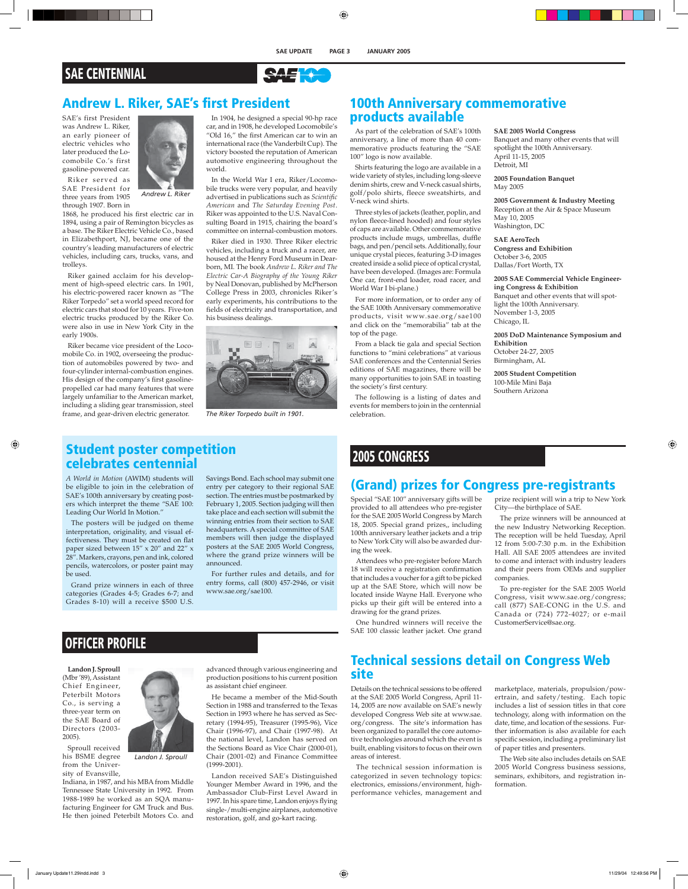

### **Andrew L. Riker, SAE's first President**

SAE's first President was Andrew L. Riker, an early pioneer of electric vehicles who later produced the Locomobile Co.'s first gasoline-powered car.



Riker served as SAE President for three years from 1905 through 1907. Born in

1868, he produced his first electric car in 1894, using a pair of Remington bicycles as a base. The Riker Electric Vehicle Co., based in Elizabethport, NJ, became one of the country's leading manufacturers of electric vehicles, including cars, trucks, vans, and trolleys.

Riker gained acclaim for his development of high-speed electric cars. In 1901, his electric-powered racer known as "The Riker Torpedo" set a world speed record for electric cars that stood for 10 years. Five-ton electric trucks produced by the Riker Co. were also in use in New York City in the early 1900s.

Riker became vice president of the Locomobile Co. in 1902, overseeing the production of automobiles powered by two- and four-cylinder internal-combustion engines. His design of the company's first gasolinepropelled car had many features that were largely unfamiliar to the American market, including a sliding gear transmission, steel frame, and gear-driven electric generator.

In 1904, he designed a special 90-hp race car, and in 1908, he developed Locomobile's "Old 16," the first American car to win an international race (the Vanderbilt Cup). The victory boosted the reputation of American automotive engineering throughout the world.

In the World War I era, Riker/Locomobile trucks were very popular, and heavily advertised in publications such as *Scientific American* and *The Saturday Evening Post*. Riker was appointed to the U.S. Naval Consulting Board in 1915, chairing the board's committee on internal-combustion motors.

Riker died in 1930. Three Riker electric vehicles, including a truck and a racer, are housed at the Henry Ford Museum in Dearborn, MI. The book *Andrew L. Riker and The Electric Car-A Biography of the Young Riker* by Neal Donovan, published by McPherson College Press in 2003, chronicles Riker's early experiments, his contributions to the fields of electricity and transportation, and his business dealings.



*The Riker Torpedo built in 1901.*

### **Student poster competition celebrates centennial**

*A World in Motion* (AWIM) students will be eligible to join in the celebration of SAE's 100th anniversary by creating posters which interpret the theme "SAE 100: Leading Our World In Motion."

The posters will be judged on theme interpretation, originality, and visual effectiveness. They must be created on flat paper sized between 15" x 20" and 22" x 28". Markers, crayons, pen and ink, colored pencils, watercolors, or poster paint may be used.

Grand prize winners in each of three categories (Grades 4-5; Grades 6-7; and Grades 8-10) will a receive \$500 U.S.

Savings Bond. Each school may submit one entry per category to their regional SAE section. The entries must be postmarked by February 1, 2005. Section judging will then take place and each section will submit the winning entries from their section to SAE headquarters. A special committee of SAE members will then judge the displayed posters at the SAE 2005 World Congress, where the grand prize winners will be announced.

For further rules and details, and for entry forms, call (800) 457-2946, or visit www.sae.org/sae100.

### **100th Anniversary commemorative products available**

As part of the celebration of SAE's 100th anniversary, a line of more than 40 commemorative products featuring the "SAE 100" logo is now available.

Shirts featuring the logo are available in a wide variety of styles, including long-sleeve denim shirts, crew and V-neck casual shirts, golf/polo shirts, fleece sweatshirts, and V-neck wind shirts.

Three styles of jackets (leather, poplin, and nylon fleece-lined hooded) and four styles of caps are available. Other commemorative products include mugs, umbrellas, duffle bags, and pen/pencil sets. Additionally, four unique crystal pieces, featuring 3-D images created inside a solid piece of optical crystal, have been developed. (Images are: Formula One car, front-end loader, road racer, and World War I bi-plane.)

For more information, or to order any of the SAE 100th Anniversary commemorative products, visit www.sae.org/sae100 and click on the "memorabilia" tab at the top of the page.

From a black tie gala and special Section functions to "mini celebrations" at various SAE conferences and the Centennial Series editions of SAE magazines, there will be many opportunities to join SAE in toasting the society's first century.

The following is a listing of dates and events for members to join in the centennial celebration.

**SAE 2005 World Congress** Banquet and many other events that will spotlight the 100th Anniversary. April 11-15, 2005 Detroit, MI

**2005 Foundation Banquet** May 2005

**2005 Government & Industry Meeting** Reception at the Air & Space Museum May 10, 2005 Washington, DC

**SAE AeroTech Congress and Exhibition** October 3-6, 2005 Dallas/Fort Worth, TX

**2005 SAE Commercial Vehicle Engineering Congress & Exhibition** Banquet and other events that will spotlight the 100th Anniversary. November 1-3, 2005 Chicago, IL

**2005 DoD Maintenance Symposium and Exhibition** October 24-27, 2005 Birmingham, AL

**2005 Student Competition** 100-Mile Mini Baja Southern Arizona

## **2005 CONGRESS**

## **(Grand) prizes for Congress pre-registrants**

Special "SAE 100" anniversary gifts will be provided to all attendees who pre-register for the SAE 2005 World Congress by March 18, 2005. Special grand prizes,, including 100th anniversary leather jackets and a trip to New York City will also be awarded during the week.

Attendees who pre-register before March 18 will receive a registration confirmation that includes a voucher for a gift to be picked up at the SAE Store, which will now be located inside Wayne Hall. Everyone who picks up their gift will be entered into a drawing for the grand prizes.

One hundred winners will receive the SAE 100 classic leather jacket. One grand

City—the birthplace of SAE. The prize winners will be announced at

prize recipient will win a trip to New York

the new Industry Networking Reception. The reception will be held Tuesday, April 12 from 5:00-7:30 p.m. in the Exhibition Hall. All SAE 2005 attendees are invited to come and interact with industry leaders and their peers from OEMs and supplier companies.

To pre-register for the SAE 2005 World Congress, visit www.sae.org/congress; call (877) SAE-CONG in the U.S. and Canada or (724) 772-4027; or e-mail CustomerService@sae.org.

## **OFFICER PROFILE**

**Landon J. Sproull** (Mbr '89), Assistant Chief Engineer, Peterbilt Motors Co., is serving a three-year term on the SAE Board of Directors (2003- 2005).

Sproull received his BSME degree from the University of Evansville,



*Landon J. Sproull*

Indiana, in 1987, and his MBA from Middle Tennessee State University in 1992. From 1988-1989 he worked as an SQA manufacturing Engineer for GM Truck and Bus. He then joined Peterbilt Motors Co. and advanced through various engineering and production positions to his current position as assistant chief engineer.

He became a member of the Mid-South Section in 1988 and transferred to the Texas Section in 1993 where he has served as Secretary (1994-95), Treasurer (1995-96), Vice Chair (1996-97), and Chair (1997-98). At the national level, Landon has served on the Sections Board as Vice Chair (2000-01), Chair (2001-02) and Finance Committee (1999-2001).

Landon received SAE's Distinguished Younger Member Award in 1996, and the Ambassador Club-First Level Award in 1997. In his spare time, Landon enjoys flying single-/multi-engine airplanes, automotive restoration, golf, and go-kart racing.

### **Technical sessions detail on Congress Web site**

Details on the technical sessions to be offered at the SAE 2005 World Congress, April 11- 14, 2005 are now available on SAE's newly developed Congress Web site at www.sae. org/congress. The site's information has been organized to parallel the core automotive technologies around which the event is built, enabling visitors to focus on their own areas of interest.

The technical session information is categorized in seven technology topics: electronics, emissions/environment, highperformance vehicles, management and marketplace, materials, propulsion/powertrain, and safety/testing. Each topic includes a list of session titles in that core technology, along with information on the date, time, and location of the sessions. Further information is also available for each specific session, including a preliminary list of paper titles and presenters.

The Web site also includes details on SAE 2005 World Congress business sessions, seminars, exhibitors, and registration information.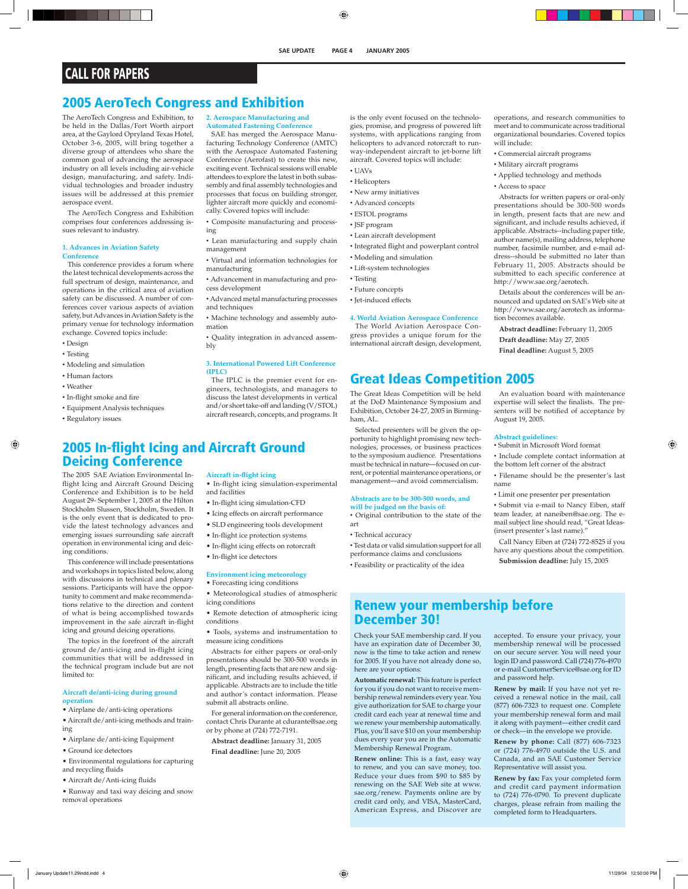## **CALL FOR PAPERS**

### **2005 AeroTech Congress and Exhibition**

The AeroTech Congress and Exhibition, to be held in the Dallas/Fort Worth airport area, at the Gaylord Opryland Texas Hotel, October 3-6, 2005, will bring together a diverse group of attendees who share the common goal of advancing the aerospace industry on all levels including air-vehicle design, manufacturing, and safety. Individual technologies and broader industry issues will be addressed at this premier aerospace event.

The AeroTech Congress and Exhibition comprises four conferences addressing issues relevant to industry.

#### **1. Advances in Aviation Safety Conference**

This conference provides a forum where the latest technical developments across the full spectrum of design, maintenance, and operations in the critical area of aviation safety can be discussed. A number of conferences cover various aspects of aviation safety, but Advances in Aviation Safety is the primary venue for technology information exchange. Covered topics include:

- Design
- Testing
- Modeling and simulation
- Human factors

ing conditions.

limited to:

**operation** 

ing

- Weather
- In-flight smoke and fire
- Equipment Analysis techniques

The 2005 SAE Aviation Environmental Inflight Icing and Aircraft Ground Deicing Conference and Exhibition is to be held August 29- September 1, 2005 at the Hilton Stockholm Slussen, Stockholm, Sweden. It is the only event that is dedicated to provide the latest technology advances and emerging issues surrounding safe aircraft

with discussions in technical and plenary sessions. Participants will have the opportunity to comment and make recommendations relative to the direction and content of what is being accomplished towards improvement in the safe aircraft in-flight icing and ground deicing operations. The topics in the forefront of the aircraft ground de/anti-icing and in-flight icing communities that will be addressed in the technical program include but are not

• Regulatory issues

#### **2. Aerospace Manufacturing and**

**Automated Fastening Conference** 

SAE has merged the Aerospace Manufacturing Technology Conference (AMTC) with the Aerospace Automated Fastening Conference (Aerofast) to create this new, exciting event. Technical sessions will enable attendees to explore the latest in both subassembly and final assembly technologies and processes that focus on building stronger, lighter aircraft more quickly and economi-

cally. Covered topics will include: • Composite manufacturing and process-

ing

- Lean manufacturing and supply chain management
- Virtual and information technologies for manufacturing
- Advancement in manufacturing and process development
- Advanced metal manufacturing processes and techniques
- Machine technology and assembly automation
- Quality integration in advanced assem-

#### **3. International Powered Lift Conference (IPLC)**

The IPLC is the premier event for engineers, technologists, and managers to discuss the latest developments in vertical and/or short take-off and landing (V/STOL) aircraft research, concepts, and programs. It

### **2005 In-flight Icing and Aircraft Ground Deicing Conference**

bly

#### **Aircraft in-flight icing**

- In-flight icing simulation-experimental and facilities
- In-flight icing simulation-CFD
- Icing effects on aircraft performance
- SLD engineering tools development
- In-flight ice protection systems
- 
- 

### **Environment icing meteorology**

• Forecasting icing conditions

• Meteorological studies of atmospheric icing conditions

• Remote detection of atmospheric icing conditions

• Tools, systems and instrumentation to measure icing conditions

Abstracts for either papers or oral-only presentations should be 300-500 words in length, presenting facts that are new and significant, and including results achieved, if applicable. Abstracts are to include the title and author's contact information. Please submit all abstracts online.

For general information on the conference, contact Chris Durante at cdurante@sae.org or by phone at (724) 772-7191.

**Abstract deadline:** January 31, 2005 **Final deadline:** June 20, 2005

is the only event focused on the technologies, promise, and progress of powered lift systems, with applications ranging from helicopters to advanced rotorcraft to runway-independent aircraft to jet-borne lift aircraft. Covered topics will include:

- UAVs
- Helicopters
- New army initiatives
- Advanced concepts
- ESTOL programs
- JSF program
- Lean aircraft development
- Integrated flight and powerplant control
- Modeling and simulation
- Lift-system technologies
- Testing
- Future concepts
- Jet-induced effects
- 

**4. World Aviation Aerospace Conference**  The World Aviation Aerospace Congress provides a unique forum for the international aircraft design, development,

## **Great Ideas Competition 2005**

The Great Ideas Competition will be held at the DoD Maintenance Symposium and Exhibition, October 24-27, 2005 in Birmingham, AL.

Selected presenters will be given the opportunity to highlight promising new technologies, processes, or business practices to the symposium audience. Presentations must be technical in nature—focused on current, or potential maintenance operations, or management—and avoid commercialism.

#### **Abstracts are to be 300-500 words, and will be judged on the basis of:**

• Original contribution to the state of the art

• Technical accuracy

• Test data or valid simulation support for all performance claims and conclusions

• Feasibility or practicality of the idea

operations, and research communities to meet and to communicate across traditional organizational boundaries. Covered topics will include:

- Commercial aircraft programs
- Military aircraft programs
- Applied technology and methods
- Access to space

Abstracts for written papers or oral-only presentations should be 300-500 words in length, present facts that are new and significant, and include results achieved, if applicable. Abstracts--including paper title, author name(s), mailing address, telephone number, facsimile number, and e-mail address--should be submitted no later than February 11, 2005. Abstracts should be submitted to each specific conference at http://www.sae.org/aerotech.

Details about the conferences will be announced and updated on SAE's Web site at http://www.sae.org/aerotech as information becomes available.

**Abstract deadline:** February 11, 2005

- **Draft deadline:** May 27, 2005
- **Final deadline:** August 5, 2005

An evaluation board with maintenance expertise will select the finalists. The presenters will be notified of acceptance by August 19, 2005.

#### **Abstract guidelines:**

- Submit in Microsoft Word format
- Include complete contact information at the bottom left corner of the abstract
- Filename should be the presenter's last name
- Limit one presenter per presentation
- Submit via e-mail to Nancy Eiben, staff team leader, at naneiben@sae.org. The email subject line should read, "Great Ideas- (insert presenter's last name)."
- Call Nancy Eiben at (724) 772-8525 if you have any questions about the competition. **Submission deadline:** July 15, 2005

## **Renew your membership before December 30!**

Check your SAE membership card. If you have an expiration date of December 30, now is the time to take action and renew for 2005. If you have not already done so, here are your options:

**Automatic renewal:** This feature is perfect for you if you do not want to receive membership renewal reminders every year. You give authorization for SAE to charge your credit card each year at renewal time and we renew your membership automatically. Plus, you'll save \$10 on your membership dues every year you are in the Automatic Membership Renewal Program.

**Renew online:** This is a fast, easy way to renew, and you can save money, too. Reduce your dues from \$90 to \$85 by renewing on the SAE Web site at www. sae.org/renew. Payments online are by credit card only, and VISA, MasterCard, American Express, and Discover are

accepted. To ensure your privacy, your membership renewal will be processed on our secure server. You will need your login ID and password. Call (724) 776-4970 or e-mail CustomerService@sae.org for ID and password help.

**Renew by mail:** If you have not yet received a renewal notice in the mail, call (877) 606-7323 to request one. Complete your membership renewal form and mail it along with payment—either credit card or check—in the envelope we provide.

**Renew by phone:** Call (877) 606-7323 or (724) 776-4970 outside the U.S. and Canada, and an SAE Customer Service Representative will assist you.

**Renew by fax:** Fax your completed form and credit card payment information to (724) 776-0790. To prevent duplicate charges, please refrain from mailing the completed form to Headquarters.

• Aircraft de/Anti-icing fluids • Runway and taxi way deicing and snow

removal operations

**Aircraft de/anti-icing during ground** 

• Airplane de/anti-icing operations

• Airplane de/anti-icing Equipment

• Ground ice detectors

and recycling fluids

• Aircraft de/anti-icing methods and train-

• Environmental regulations for capturing

operation in environmental icing and deic-This conference will include presentations and workshops in topics listed below, along • In-flight icing effects on rotorcraft • In-flight ice detectors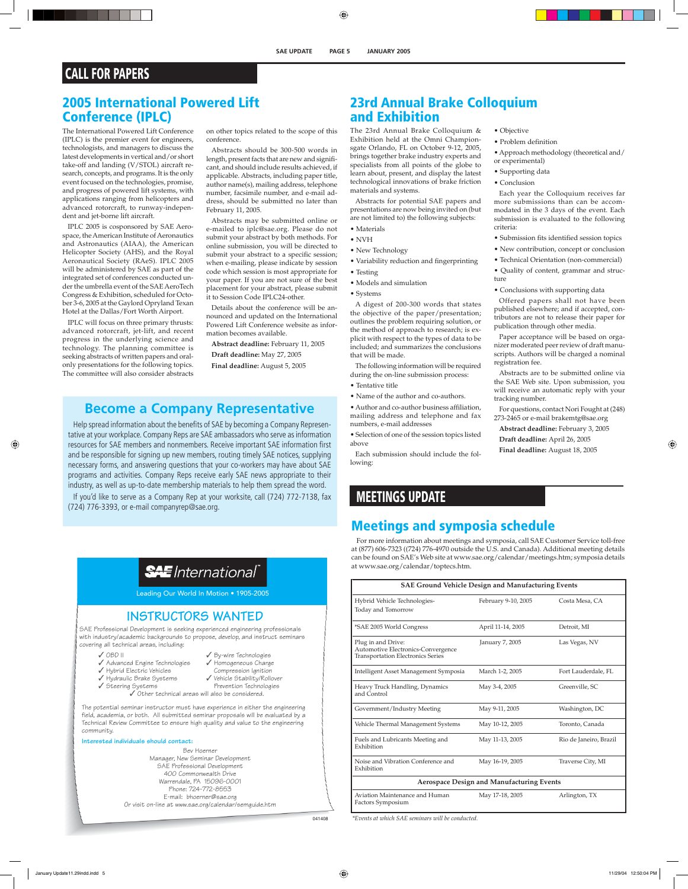## **CALL FOR PAPERS**

### **2005 International Powered Lift Conference (IPLC)**

The International Powered Lift Conference (IPLC) is the premier event for engineers, technologists, and managers to discuss the latest developments in vertical and/or short take-off and landing (V/STOL) aircraft research, concepts, and programs. It is the only event focused on the technologies, promise, and progress of powered lift systems, with applications ranging from helicopters and advanced rotorcraft, to runway-independent and jet-borne lift aircraft.

IPLC 2005 is cosponsored by SAE Aerospace, the American Institute of Aeronautics and Astronautics (AIAA), the American Helicopter Society (AHS), and the Royal Aeronautical Society (RAeS). IPLC 2005 will be administered by SAE as part of the integrated set of conferences conducted under the umbrella event of the SAE AeroTech Congress & Exhibition, scheduled for October 3-6, 2005 at the Gaylord Opryland Texan Hotel at the Dallas/Fort Worth Airport.

IPLC will focus on three primary thrusts: advanced rotorcraft, jet-lift, and recent progress in the underlying science and technology. The planning committee is seeking abstracts of written papers and oralonly presentations for the following topics. The committee will also consider abstracts on other topics related to the scope of this conference.

Abstracts should be 300-500 words in length, present facts that are new and significant, and should include results achieved, if applicable. Abstracts, including paper title, author name(s), mailing address, telephone number, facsimile number, and e-mail address, should be submitted no later than February 11, 2005.

Abstracts may be submitted online or e-mailed to iplc@sae.org. Please do not submit your abstract by both methods. For online submission, you will be directed to submit your abstract to a specific session; when e-mailing, please indicate by session code which session is most appropriate for your paper. If you are not sure of the best placement for your abstract, please submit it to Session Code IPLC24-other.

Details about the conference will be announced and updated on the International Powered Lift Conference website as information becomes available.

**Abstract deadline:** February 11, 2005 **Draft deadline:** May 27, 2005

**Final deadline:** August 5, 2005

## **Become a Company Representative**

Help spread information about the benefits of SAE by becoming a Company Representative at your workplace. Company Reps are SAE ambassadors who serve as information resources for SAE members and nonmembers. Receive important SAE information first and be responsible for signing up new members, routing timely SAE notices, supplying necessary forms, and answering questions that your co-workers may have about SAE programs and activities. Company Reps receive early SAE news appropriate to their industry, as well as up-to-date membership materials to help them spread the word.

If you'd like to serve as a Company Rep at your worksite, call (724) 772-7138, fax (724) 776-3393, or e-mail companyrep@sae.org.

## **SAE** International

Leading Our World In Motion • 1905-2005

### **INSTRUCTORS WANTED**

SAE Professional Development is seeking experienced engineering professionals with industry/academic backgrounds to propose, develop, and instruct seminars covering all technical areas, including:

- ✓ OBD II
- ✓ By-wire Technologies ✓ Homogeneous Charge
- ✓ Advanced Engine Technologies
- ✓ Hybrid Electric Vehicles ✓ Hydraulic Brake Systems
- Compression Ignition ✓ Vehicle Stability/Rollover
- ✓ Steering Systems
	- Prevention Technologies ✓ Other technical areas will also be considered.

The potential seminar instructor must have experience in either the engineering field, academia, or both. All submitted seminar proposals will be evaluated by a Technical Keview Committee to ensure high quality and value to the engineering community.

**Interested individuals should contact:**

Bev Hoerner Manager, New Seminar Development SAE Professional Development 400 Commonwealth Drive Warrendale, PA 15096-0001 Phone: 724-772-8553 E-mail: bhoerner@sae.org Or visit on-line at www.sae.org/calendar/semguide.htm

### **23rd Annual Brake Colloquium and Exhibition**

The 23rd Annual Brake Colloquium & Exhibition held at the Omni Championsgate Orlando, FL on October 9-12, 2005, brings together brake industry experts and specialists from all points of the globe to learn about, present, and display the latest technological innovations of brake friction materials and systems.

Abstracts for potential SAE papers and presentations are now being invited on (but are not limited to) the following subjects:

- Materials
- NVH
- New Technology
- Variability reduction and fingerprinting • Testing
- Models and simulation
- Systems

A digest of 200-300 words that states the objective of the paper/presentation; outlines the problem requiring solution, or the method of approach to research; is explicit with respect to the types of data to be included; and summarizes the conclusions that will be made.

The following information will be required during the on-line submission process:

- Tentative title
- Name of the author and co-authors.

• Author and co-author business affiliation, mailing address and telephone and fax numbers, e-mail addresses

• Selection of one of the session topics listed above

Each submission should include the following:

## **MEETINGS UPDATE**

## **Meetings and symposia schedule**

For more information about meetings and symposia, call SAE Customer Service toll-free at (877) 606-7323 ((724) 776-4970 outside the U.S. and Canada). Additional meeting details can be found on SAE's Web site at www.sae.org/calendar/meetings.htm; symposia details at www.sae.org/calendar/toptecs.htm.

| <b>SAE Ground Vehicle Design and Manufacturing Events</b>                                            |                     |                        |
|------------------------------------------------------------------------------------------------------|---------------------|------------------------|
| Hybrid Vehicle Technologies-<br>Today and Tomorrow                                                   | February 9-10, 2005 | Costa Mesa, CA         |
| *SAE 2005 World Congress                                                                             | April 11-14, 2005   | Detroit, MI            |
| Plug in and Drive:<br>Automotive Electronics-Convergence<br><b>Transportation Electronics Series</b> | January 7, 2005     | Las Vegas, NV          |
| Intelligent Asset Management Symposia                                                                | March 1-2, 2005     | Fort Lauderdale, FL    |
| Heavy Truck Handling, Dynamics<br>and Control                                                        | May 3-4, 2005       | Greenville, SC         |
| Government/Industry Meeting                                                                          | May 9-11, 2005      | Washington, DC         |
| Vehicle Thermal Management Systems                                                                   | May 10-12, 2005     | Toronto, Canada        |
| Fuels and Lubricants Meeting and<br>Exhibition                                                       | May 11-13, 2005     | Rio de Janeiro, Brazil |
| Noise and Vibration Conference and<br>Exhibition                                                     | May 16-19, 2005     | Traverse City, MI      |
| <b>Aerospace Design and Manufacturing Events</b>                                                     |                     |                        |
| Aviation Maintenance and Human<br>Factors Symposium                                                  | May 17-18, 2005     | Arlington, TX          |

*\*Events at which SAE seminars will be conducted.* 

• Objective

- Problem definition
- Approach methodology (theoretical and/ or experimental)
- Supporting data
- Conclusion

Each year the Colloquium receives far more submissions than can be accommodated in the 3 days of the event. Each submission is evaluated to the following criteria:

- Submission fits identified session topics
- New contribution, concept or conclusion

• Technical Orientation (non-commercial) • Quality of content, grammar and struc-

ture • Conclusions with supporting data

Offered papers shall not have been published elsewhere; and if accepted, contributors are not to release their paper for publication through other media.

Paper acceptance will be based on organizer moderated peer review of draft manuscripts. Authors will be charged a nominal registration fee.

Abstracts are to be submitted online via the SAE Web site. Upon submission, you will receive an automatic reply with your tracking number.

For questions, contact Nori Fought at (248) 273-2465 or e-mail brakemtg@sae.org

**Abstract deadline:** February 3, 2005 **Draft deadline:** April 26, 2005

**Final deadline:** August 18, 2005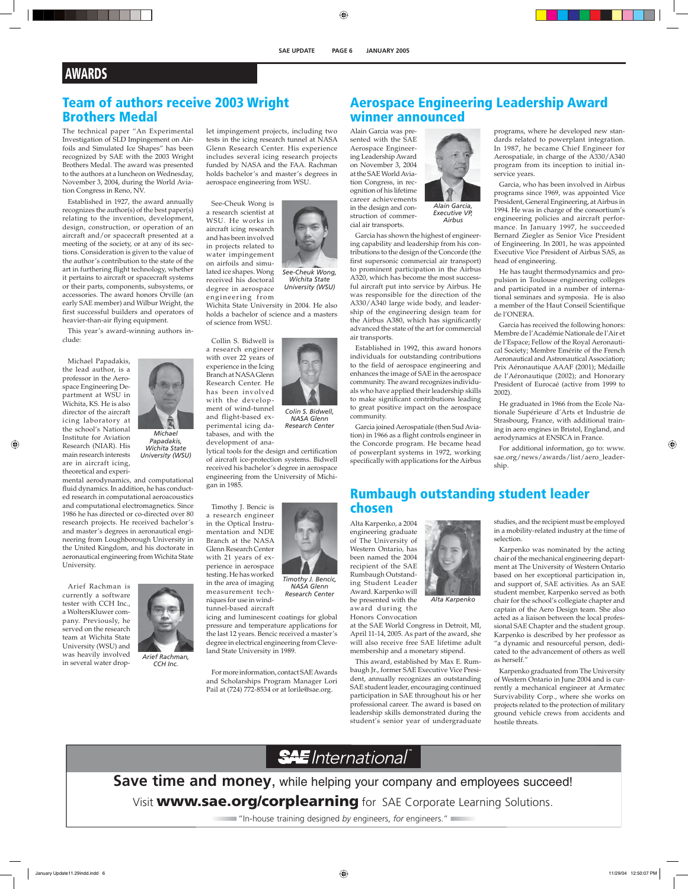## **AWARDS**

### **Team of authors receive 2003 Wright Brothers Medal**

The technical paper "An Experimental Investigation of SLD Impingement on Airfoils and Simulated Ice Shapes" has been recognized by SAE with the 2003 Wright Brothers Medal. The award was presented to the authors at a luncheon on Wednesday, November 3, 2004, during the World Aviation Congress in Reno, NV.

Established in 1927, the award annually recognizes the author(s) of the best paper(s) relating to the invention, development, design, construction, or operation of an aircraft and/or spacecraft presented at a meeting of the society, or at any of its sections. Consideration is given to the value of the author's contribution to the state of the art in furthering flight technology, whether it pertains to aircraft or spacecraft systems or their parts, components, subsystems, or accessories. The award honors Orville (an early SAE member) and Wilbur Wright, the first successful builders and operators of heavier-than-air flying equipment.

This year's award-winning authors include:

Michael Papadakis, the lead author, is a professor in the Aerospace Engineering Department at WSU in Wichita, KS. He is also director of the aircraft icing laboratory at the school's National Institute for Aviation Research (NIAR). His main research interests are in aircraft icing, theoretical and experi-



*Wichita State University (WSU)* 

mental aerodynamics, and computational fluid dynamics. In addition, he has conducted research in computational aeroacoustics and computational electromagnetics. Since 1986 he has directed or co-directed over 80 research projects. He received bachelor's and master's degrees in aeronautical engineering from Loughborough University in the United Kingdom, and his doctorate in aeronautical engineering from Wichita State University.

Arief Rachman is currently a software tester with CCH Inc., a WoltersKluwer company. Previously, he served on the research team at Wichita State University (WSU) and was heavily involved in several water drop-



*Arief Rachman, CCH Inc.*

let impingement projects, including two tests in the icing research tunnel at NASA Glenn Research Center. His experience includes several icing research projects funded by NASA and the FAA. Rachman holds bachelor's and master's degrees in aerospace engineering from WSU.

See-Cheuk Wong is a research scientist at WSU. He works in aircraft icing research and has been involved in projects related to water impingement on airfoils and simulated ice shapes. Wong received his doctoral degree in aerospace engineering from

Collin S. Bidwell is



*See-Cheuk Wong, Wichita State University (WSU)* 

*Colin S. Bidwell, NASA Glenn Research Center* 

*Timothy J. Bencic, NASA Glenn Research Center* 

Wichita State University in 2004. He also holds a bachelor of science and a masters of science from WSU.

a research engineer with over 22 years of experience in the Icing Branch at NASA Glenn Research Center. He has been involved with the development of wind-tunnel

and flight-based experimental icing databases, and with the development of ana-

lytical tools for the design and certification of aircraft ice-protection systems. Bidwell received his bachelor's degree in aerospace engineering from the University of Michigan in 1985.

Timothy J. Bencic is a research engineer in the Optical Instrumentation and NDE Branch at the NASA Glenn Research Center with 21 years of experience in aerospace testing. He has worked in the area of imaging measurement tech-

niques for use in windtunnel-based aircraft

icing and luminescent coatings for global pressure and temperature applications for the last 12 years. Bencic received a master's degree in electrical engineering from Cleveland State University in 1989.

For more information, contact SAE Awards and Scholarships Program Manager Lori Pail at (724) 772-8534 or at lorile@sae.org.



struction of commercial air transports.

*Alain Garcia, Executive VP, Airbus*

Garcia has shown the highest of engineering capability and leadership from his contributions to the design of the Concorde (the first supersonic commercial air transport) to prominent participation in the Airbus A320, which has become the most successful aircraft put into service by Airbus. He was responsible for the direction of the A330/A340 large wide body, and leadership of the engineering design team for the Airbus A380, which has significantly advanced the state of the art for commercial air transports.

Established in 1992, this award honors individuals for outstanding contributions to the field of aerospace engineering and enhances the image of SAE in the aerospace community. The award recognizes individuals who have applied their leadership skills to make significant contributions leading to great positive impact on the aerospace community.

Garcia joined Aerospatiale (then Sud Aviation) in 1966 as a flight controls engineer in the Concorde program. He became head of powerplant systems in 1972, working specifically with applications for the Airbus

## **Aerospace Engineering Leadership Award winner announced**

programs, where he developed new standards related to powerplant integration. In 1987, he became Chief Engineer for Aerospatiale, in charge of the A330/A340 program from its inception to initial inservice years.

Garcia, who has been involved in Airbus programs since 1969, was appointed Vice President, General Engineering, at Airbus in 1994. He was in charge of the consortium's engineering policies and aircraft performance. In January 1997, he succeeded Bernard Ziegler as Senior Vice President of Engineering. In 2001, he was appointed Executive Vice President of Airbus SAS, as head of engineering.

He has taught thermodynamics and propulsion in Toulouse engineering colleges and participated in a number of international seminars and symposia. He is also a member of the Haut Conseil Scientifique de l'ONERA.

Garcia has received the following honors: Membre de l'Académie Nationale de l'Air et de l'Espace; Fellow of the Royal Aeronautical Society; Membre Emérite of the French Aeronautical and Astronautical Association; Prix Aéronautique AAAF (2001); Médaille de l'Aéronautique (2002); and Honorary President of Eurocaé (active from 1999 to 2002).

He graduated in 1966 from the Ecole Nationale Supérieure d'Arts et Industrie de Strasbourg, France, with additional training in aero engines in Bristol, England, and aerodynamics at ENSICA in France.

For additional information, go to: www. sae.org/news/awards/list/aero\_leadership.

### **Rumbaugh outstanding student leader chosen**

*Alta Karpenko*

Alta Karpenko, a 2004 engineering graduate of The University of Western Ontario, has been named the 2004 recipient of the SAE Rumbaugh Outstanding Student Leader Award. Karpenko will

be presented with the award during the Honors Convocation



This award, established by Max E. Rumbaugh Jr., former SAE Executive Vice President, annually recognizes an outstanding SAE student leader, encouraging continued participation in SAE throughout his or her professional career. The award is based on leadership skills demonstrated during the student's senior year of undergraduate studies, and the recipient must be employed in a mobility-related industry at the time of selection.

Karpenko was nominated by the acting chair of the mechanical engineering department at The University of Western Ontario based on her exceptional participation in, and support of, SAE activities. As an SAE student member, Karpenko served as both chair for the school's collegiate chapter and captain of the Aero Design team. She also acted as a liaison between the local professional SAE Chapter and the student group. Karpenko is described by her professor as "a dynamic and resourceful person, dedicated to the advancement of others as well as herself."

Karpenko graduated from The University of Western Ontario in June 2004 and is currently a mechanical engineer at Armatec Survivability Corp., where she works on projects related to the protection of military ground vehicle crews from accidents and hostile threats.

## **SAE** International

**Save time and money**, while helping your company and employees succeed! Visit **www.sae.org/corplearning** for SAE Corporate Learning Solutions.

"In-house training designed *by* engineers, *for* engineers."

*Michael Papadakis,*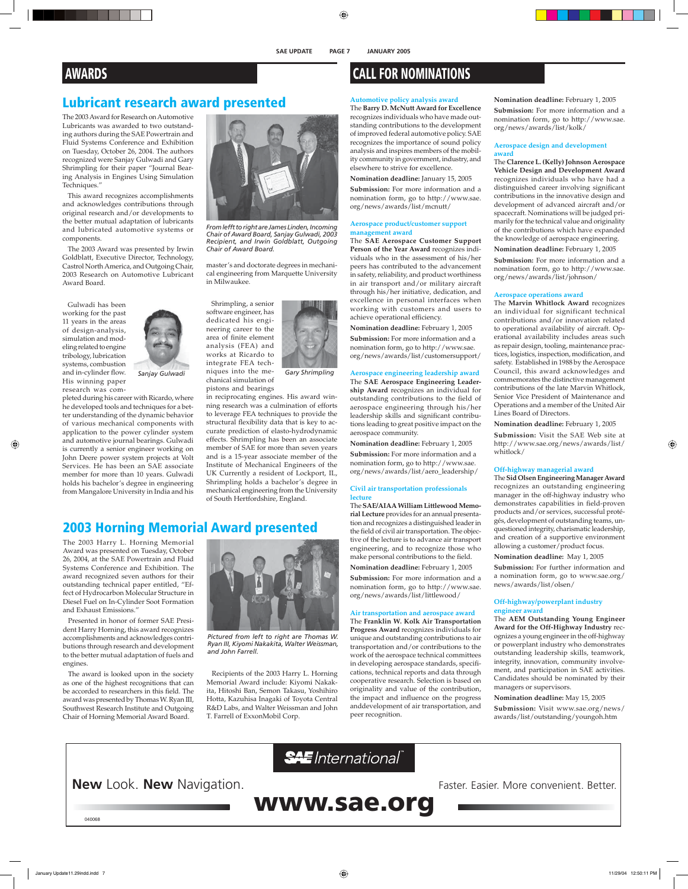## **Lubricant research award presented**

The 2003 Award for Research on Automotive Lubricants was awarded to two outstanding authors during the SAE Powertrain and Fluid Systems Conference and Exhibition on Tuesday, October 26, 2004. The authors recognized were Sanjay Gulwadi and Gary Shrimpling for their paper "Journal Bearing Analysis in Engines Using Simulation Techniques."

This award recognizes accomplishments and acknowledges contributions through original research and/or developments to the better mutual adaptation of lubricants and lubricated automotive systems or components.

The 2003 Award was presented by Irwin Goldblatt, Executive Director, Technology, Castrol North America, and Outgoing Chair, 2003 Research on Automotive Lubricant Award Board.

Gulwadi has been working for the past 11 years in the areas of design-analysis, simulation and modeling related to engine tribology, lubrication systems, combustion and in-cylinder flow. His winning paper research was com-



pleted during his career with Ricardo, where he developed tools and techniques for a better understanding of the dynamic behavior of various mechanical components with application to the power cylinder system and automotive journal bearings. Gulwadi is currently a senior engineer working on John Deere power system projects at Volt Services. He has been an SAE associate member for more than 10 years. Gulwadi holds his bachelor's degree in engineering from Mangalore University in India and his



*From lefft to right are James Linden, Incoming Chair of Award Board, Sanjay Gulwadi, 2003 Recipient, and Irwin Goldblatt, Outgoing Chair of Award Board.*

master's and doctorate degrees in mechanical engineering from Marquette University in Milwaukee.

Shrimpling, a senior software engineer, has dedicated his engineering career to the area of finite element analysis (FEA) and works at Ricardo to integrate FEA tech-



Sanjay Gulwadi and all the me- Gary Shrimpling chanical simulation of

> pistons and bearings in reciprocating engines. His award winning research was a culmination of efforts to leverage FEA techniques to provide the structural flexibility data that is key to accurate prediction of elasto-hydrodynamic effects. Shrimpling has been an associate member of SAE for more than seven years and is a 15-year associate member of the Institute of Mechanical Engineers of the UK Currently a resident of Lockport, IL, Shrimpling holds a bachelor's degree in mechanical engineering from the University of South Hertfordshire, England.

### **2003 Horning Memorial Award presented**

The 2003 Harry L. Horning Memorial Award was presented on Tuesday, October 26, 2004, at the SAE Powertrain and Fluid Systems Conference and Exhibition. The award recognized seven authors for their outstanding technical paper entitled, "Effect of Hydrocarbon Molecular Structure in Diesel Fuel on In-Cylinder Soot Formation and Exhaust Emissions."

Presented in honor of former SAE President Harry Horning, this award recognizes accomplishments and acknowledges contributions through research and development to the better mutual adaptation of fuels and engines.

The award is looked upon in the society as one of the highest recognitions that can be accorded to researchers in this field. The award was presented by Thomas W. Ryan III, Southwest Research Institute and Outgoing Chair of Horning Memorial Award Board.



*Pictured from left to right are Thomas W. Ryan III, Kiyomi Nakakita, Walter Weissman, and John Farrell.*

Recipients of the 2003 Harry L. Horning Memorial Award include: Kiyomi Nakakita, Hitoshi Ban, Semon Takasu, Yoshihiro Hotta, Kazuhisa Inagaki of Toyota Central R&D Labs, and Walter Weissman and John T. Farrell of ExxonMobil Corp.

## **AWARDS CALL FOR NOMINATIONS**

#### **Automotive policy analysis award**

The **Barry D. McNutt Award for Excellence** recognizes individuals who have made outstanding contributions to the development of improved federal automotive policy. SAE recognizes the importance of sound policy analysis and inspires members of the mobility community in government, industry, and elsewhere to strive for excellence.

**Nomination deadline:** January 15, 2005

**Submission:** For more information and a nomination form, go to http://www.sae. org/news/awards/list/mcnutt/

#### **Aerospace product/customer support management award**

The **SAE Aerospace Customer Support Person of the Year Award** recognizes individuals who in the assessment of his/her peers has contributed to the advancement in safety, reliability, and product worthiness in air transport and/or military aircraft through his/her initiative, dedication, and excellence in personal interfaces when working with customers and users to achieve operational efficiency.

**Nomination deadline:** February 1, 2005

**Submission:** For more information and a nomination form, go to http://www.sae. org/news/awards/list/customersupport/

#### **Aerospace engineering leadership award**

The **SAE Aerospace Engineering Leadership Award** recognizes an individual for outstanding contributions to the field of aerospace engineering through his/her leadership skills and significant contributions leading to great positive impact on the aerospace community.

**Nomination deadline:** February 1, 2005 **Submission:** For more information and a nomination form, go to http://www.sae. org/news/awards/list/aero\_leadership/

#### **Civil air transportation professionals lecture**

The **SAE/AIAA William Littlewood Memorial Lecture** provides for an annual presentation and recognizes a distinguished leader in the field of civil air transportation. The objective of the lecture is to advance air transport engineering, and to recognize those who make personal contributions to the field.

**Nomination deadline:** February 1, 2005 **Submission:** For more information and a nomination form, go to http://www.sae. org/news/awards/list/littlewood/

#### **Air transportation and aerospace award**

The **Franklin W. Kolk Air Transportation Progress Award** recognizes individuals for unique and outstanding contributions to air transportation and/or contributions to the work of the aerospace technical committees in developing aerospace standards, specifications, technical reports and data through cooperative research. Selection is based on originality and value of the contribution, the impact and influence on the progress anddevelopment of air transportation, and peer recognition.

**Nomination deadline:** February 1, 2005 **Submission:** For more information and a nomination form, go to http://www.sae. org/news/awards/list/kolk/

#### **Aerospace design and development award**

The **Clarence L. (Kelly) Johnson Aerospace Vehicle Design and Development Award** recognizes individuals who have had a distinguished career involving significant contributions in the innovative design and development of advanced aircraft and/or spacecraft. Nominations will be judged primarily for the technical value and originality of the contributions which have expanded the knowledge of aerospace engineering. **Nomination deadline:** February 1, 2005

**Submission:** For more information and a nomination form, go to http://www.sae. org/news/awards/list/johnson/

#### **Aerospace operations award**

The **Marvin Whitlock Award** recognizes an individual for significant technical contributions and/or innovation related to operational availability of aircraft. Operational availability includes areas such as repair design, tooling, maintenance practices, logistics, inspection, modification, and safety. Established in 1988 by the Aerospace Council, this award acknowledges and commemorates the distinctive management contributions of the late Marvin Whitlock, Senior Vice President of Maintenance and Operations and a member of the United Air Lines Board of Directors.

**Nomination deadline:** February 1, 2005

**Submission:** Visit the SAE Web site at http://www.sae.org/news/awards/list/ whitlock/

#### **Off-highway managerial award**

The **Sid Olsen Engineering Manager Award**  recognizes an outstanding engineering manager in the off-highway industry who demonstrates capabilities in field-proven products and/or services, successful protégés, development of outstanding teams, unquestioned integrity, charismatic leadership, and creation of a supportive environment allowing a customer/product focus.

**Nomination deadline:** May 1, 2005

**Submission:** For further information and a nomination form, go to www.sae.org/ news/awards/list/olsen/

#### **Off-highway/powerplant industry engineer award**

The **AEM Outstanding Young Engineer Award for the Off-Highway Industry** recognizes a young engineer in the off-highway or powerplant industry who demonstrates outstanding leadership skills, teamwork, integrity, innovation, community involvement, and participation in SAE activities. Candidates should be nominated by their managers or supervisors.

**Nomination deadline:** May 15, 2005 **Submission:** Visit www.sae.org/news/ awards/list/outstanding/youngoh.htm

**SAE** International

**New** Look. **New** Navigation.

Faster. Easier. More convenient. Better.

**www.sae.org**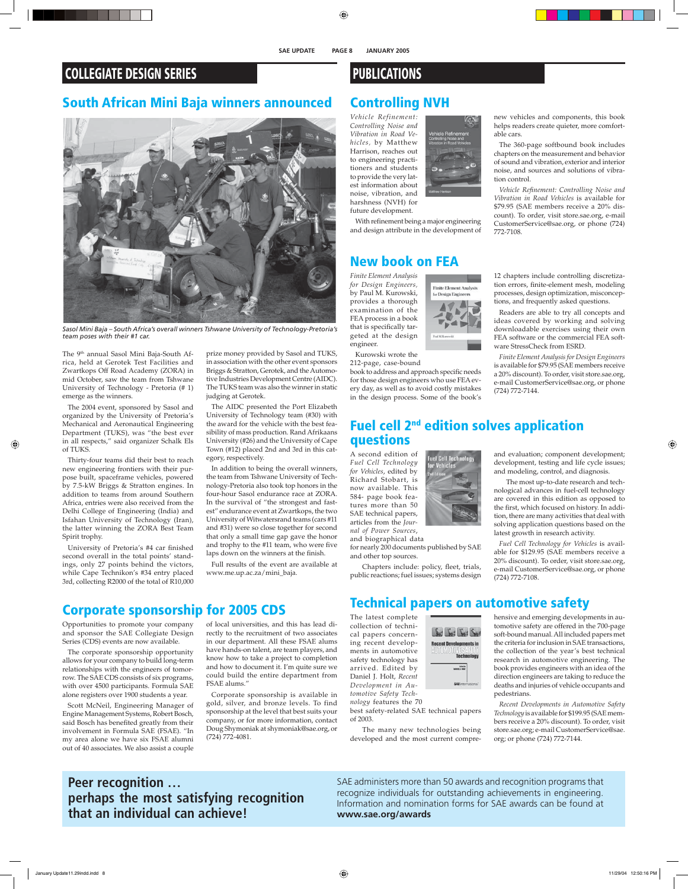## **COLLEGIATE DESIGN SERIES**

## **South African Mini Baja winners announced**



*Sasol Mini Baja – South Africa's overall winners Tshwane University of Technology-Pretoria's team poses with their #1 car.* 

The 9<sup>th</sup> annual Sasol Mini Baja-South Africa, held at Gerotek Test Facilities and Zwartkops Off Road Academy (ZORA) in mid October, saw the team from Tshwane University of Technology - Pretoria (# 1) emerge as the winners.

The 2004 event, sponsored by Sasol and organized by the University of Pretoria's Mechanical and Aeronautical Engineering Department (TUKS), was "the best ever in all respects," said organizer Schalk Els of TUKS.

Thirty-four teams did their best to reach new engineering frontiers with their purpose built, spaceframe vehicles, powered by 7.5-kW Briggs & Stratton engines. In addition to teams from around Southern Africa, entries were also received from the Delhi College of Engineering (India) and Isfahan University of Technology (Iran), the latter winning the ZORA Best Team Spirit trophy.

University of Pretoria's #4 car finished second overall in the total points' standings, only 27 points behind the victors, while Cape Technikon's #34 entry placed 3rd, collecting R2000 of the total of R10,000

prize money provided by Sasol and TUKS, in association with the other event sponsors Briggs & Stratton, Gerotek, and the Automotive Industries Development Centre (AIDC). The TUKS team was also the winner in static judging at Gerotek.

The AIDC presented the Port Elizabeth University of Technology team (#30) with the award for the vehicle with the best feasibility of mass production. Rand Afrikaans University (#26) and the University of Cape Town (#12) placed 2nd and 3rd in this category, respectively.

In addition to being the overall winners, the team from Tshwane University of Technology-Pretoria also took top honors in the four-hour Sasol endurance race at ZORA. In the survival of "the strongest and fastest" endurance event at Zwartkops, the two University of Witwatersrand teams (cars #11 and #31) were so close together for second that only a small time gap gave the honor and trophy to the #11 team, who were five laps down on the winners at the finish.

Full results of the event are available at www.me.up.ac.za/mini\_baja.

## **Corporate sponsorship for 2005 CDS**

Opportunities to promote your company and sponsor the SAE Collegiate Design Series (CDS) events are now available.

The corporate sponsorship opportunity allows for your company to build long-term relationships with the engineers of tomorrow. The SAE CDS consists of six programs, with over 4500 participants. Formula SAE alone registers over 1900 students a year.

Scott McNeil, Engineering Manager of Engine Management Systems, Robert Bosch, said Bosch has benefited greatly from their involvement in Formula SAE (FSAE). "In my area alone we have six FSAE alumni out of 40 associates. We also assist a couple

of local universities, and this has lead directly to the recruitment of two associates in our department. All these FSAE alums have hands-on talent, are team players, and know how to take a project to completion and how to document it. I'm quite sure we could build the entire department from FSAE alums."

Corporate sponsorship is available in gold, silver, and bronze levels. To find sponsorship at the level that best suits your company, or for more information, contact Doug Shymoniak at shymoniak@sae.org, or (724) 772-4081.

## **PUBLICATIONS**

## **Controlling NVH**

*Vehicle Refinement: Controlling Noise and Vibration in Road Vehicles,* by Matthew Harrison, reaches out to engineering practitioners and students to provide the very latest information about noise, vibration, and harshness (NVH) for future development.

**Finite Element Analysis** for Design Engineers

With refinement being a major engineering and design attribute in the development of

### **New book on FEA**

*Finite Element Analysis for Design Engineers,* by Paul M. Kurowski, provides a thorough examination of the FEA process in a book that is specifically targeted at the design engineer.

Kurowski wrote the

212-page, case-bound

book to address and approach specific needs for those design engineers who use FEA every day, as well as to avoid costly mistakes in the design process. Some of the book's new vehicles and components, this book helps readers create quieter, more comfortable cars.

The 360-page softbound book includes chapters on the measurement and behavior of sound and vibration, exterior and interior noise, and sources and solutions of vibration control.

*Vehicle Refi nement: Controlling Noise and Vibration in Road Vehicles* is available for \$79.95 (SAE members receive a 20% discount). To order, visit store.sae.org, e-mail CustomerService@sae.org, or phone (724) 772-7108.

12 chapters include controlling discretization errors, finite-element mesh, modeling processes, design optimization, misconceptions, and frequently asked questions.

Readers are able to try all concepts and ideas covered by working and solving downloadable exercises using their own FEA software or the commercial FEA software StressCheck from ESRD.

*Finite Element Analysis for Design Engineers* is available for \$79.95 (SAE members receive a 20% discount). To order, visit store.sae.org, e-mail CustomerService@sae.org, or phone (724) 772-7144.

### **Fuel cell 2nd edition solves application questions**

A second edition of *Fuel Cell Technology for Vehicles*, edited by Richard Stobart, is now available. This 584- page book features more than 50 SAE technical papers, articles from the *Journal of Power Sources*,

and biographical data for nearly 200 documents published by SAE

and other top sources.

Chapters include: policy, fleet, trials, public reactions; fuel issues; systems design

## **Technical papers on automotive safety**

معلا معلا معلما

Mindle<br>1997 1. HULL

The latest complete collection of technical papers concerning recent developments in automotive safety technology has arrived. Edited by Daniel J. Holt, *Recent Development in Automotive Safety Tech-*



of 2003.

 The many new technologies being developed and the most current compreand modeling, control, and diagnosis. The most up-to-date research and technological advances in fuel-cell technology

and evaluation; component development; development, testing and life cycle issues;

are covered in this edition as opposed to the first, which focused on history. In addition, there are many activities that deal with solving application questions based on the latest growth in research activity.

*Fuel Cell Technology for Vehicles* is available for \$129.95 (SAE members receive a 20% discount). To order, visit store.sae.org, e-mail CustomerService@sae.org, or phone (724) 772-7108.

hensive and emerging developments in automotive safety are offered in the 700-page soft-bound manual. All included papers met the criteria for inclusion in SAE transactions, the collection of the year's best technical research in automotive engineering. The book provides engineers with an idea of the direction engineers are taking to reduce the deaths and injuries of vehicle occupants and pedestrians.

*Recent Developments in Automotive Safety Technology* is available for \$199.95 (SAE members receive a 20% discount). To order, visit store.sae.org; e-mail CustomerService@sae. org; or phone (724) 772-7144.

**Peer recognition … perhaps the most satisfying recognition that an individual can achieve!**

SAE administers more than 50 awards and recognition programs that recognize individuals for outstanding achievements in engineering. Information and nomination forms for SAE awards can be found at **www.sae.org/awards**

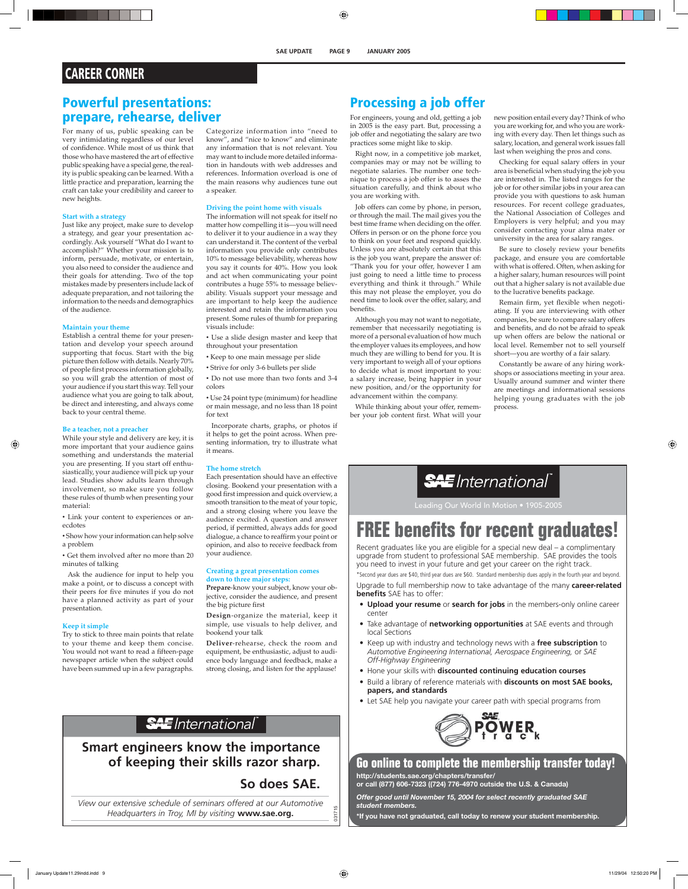## **CAREER CORNER**

### **Powerful presentations: prepare, rehearse, deliver**

For many of us, public speaking can be very intimidating regardless of our level of confidence. While most of us think that those who have mastered the art of effective public speaking have a special gene, the reality is public speaking can be learned. With a little practice and preparation, learning the craft can take your credibility and career to new heights.

#### **Start with a strategy**

Just like any project, make sure to develop a strategy, and gear your presentation accordingly. Ask yourself "What do I want to accomplish?" Whether your mission is to inform, persuade, motivate, or entertain, you also need to consider the audience and their goals for attending. Two of the top mistakes made by presenters include lack of adequate preparation, and not tailoring the information to the needs and demographics of the audience.

#### **Maintain your theme**

Establish a central theme for your presentation and develop your speech around supporting that focus. Start with the big picture then follow with details. Nearly 70% of people first process information globally, so you will grab the attention of most of your audience if you start this way. Tell your audience what you are going to talk about, be direct and interesting, and always come back to your central theme.

#### **Be a teacher, not a preacher**

While your style and delivery are key, it is more important that your audience gains something and understands the material you are presenting. If you start off enthusiastically, your audience will pick up your lead. Studies show adults learn through involvement, so make sure you follow these rules of thumb when presenting your material:

• Link your content to experiences or anecdotes

- Show how your information can help solve a problem
- Get them involved after no more than 20 minutes of talking

Ask the audience for input to help you make a point, or to discuss a concept with their peers for five minutes if you do not have a planned activity as part of your presentation.

#### **Keep it simple**

Try to stick to three main points that relate to your theme and keep them concise. You would not want to read a fifteen-page newspaper article when the subject could have been summed up in a few paragraphs.

## **Processing a job offer**

For engineers, young and old, getting a job in 2005 is the easy part. But, processing a job offer and negotiating the salary are two practices some might like to skip.

Right now, in a competitive job market, companies may or may not be willing to negotiate salaries. The number one technique to process a job offer is to asses the situation carefully, and think about who you are working with.

Job offers can come by phone, in person, or through the mail. The mail gives you the best time frame when deciding on the offer. Offers in person or on the phone force you to think on your feet and respond quickly. Unless you are absolutely certain that this is the job you want, prepare the answer of: "Thank you for your offer, however I am just going to need a little time to process everything and think it through." While this may not please the employer, you do need time to look over the offer, salary, and benefits.

Although you may not want to negotiate, remember that necessarily negotiating is more of a personal evaluation of how much the employer values its employees, and how much they are willing to bend for you. It is very important to weigh all of your options to decide what is most important to you: a salary increase, being happier in your new position, and/or the opportunity for advancement within the company.

While thinking about your offer, remember your job content first. What will your

#### new position entail every day? Think of who you are working for, and who you are working with every day. Then let things such as salary, location, and general work issues fall last when weighing the pros and cons.

Checking for equal salary offers in your area is beneficial when studying the job you are interested in. The listed ranges for the job or for other similar jobs in your area can provide you with questions to ask human resources. For recent college graduates, the National Association of Colleges and Employers is very helpful; and you may consider contacting your alma mater or university in the area for salary ranges.

Be sure to closely review your benefits package, and ensure you are comfortable with what is offered. Often, when asking for a higher salary, human resources will point out that a higher salary is not available due to the lucrative benefits package.

Remain firm, yet flexible when negotiating. If you are interviewing with other companies, be sure to compare salary offers and benefits, and do not be afraid to speak up when offers are below the national or local level. Remember not to sell yourself short—you are worthy of a fair salary.

Constantly be aware of any hiring workshops or associations meeting in your area. Usually around summer and winter there are meetings and informational sessions helping young graduates with the job process.

# **SAE** International®

Leading Our World In Motion • 1905-2005

# **FREE benefits for recent graduates!**

Recent graduates like you are eligible for a special new deal – a complimentary upgrade from student to professional SAE membership. SAE provides the tools you need to invest in your future and get your career on the right track.

\*Second year dues are \$40, third year dues are \$60. Standard membership dues apply in the fourth year and beyond. Upgrade to full membership now to take advantage of the many **career-related benefits** SAE has to offer:

- **Upload your resume** or **search for jobs** in the members-only online career center
- Take advantage of **networking opportunities** at SAE events and through local Sections
- Keep up with industry and technology news with a **free subscription** to *Automotive Engineering International, Aerospace Engineering,* or *SAE Off-Highway Engineering*
- Hone your skills with **discounted continuing education courses**
- Build a library of reference materials with **discounts on most SAE books, papers, and standards**
- Let SAE help you navigate your career path with special programs from



**Go online to complete the membership transfer today! http://students.sae.org/chapters/transfer/**

**or call (877) 606-7323 ((724) 776-4970 outside the U.S. & Canada)** *Offer good until November 15, 2004 for select recently graduated SAE* 

*student members.* **\*If you have not graduated, call today to renew your student membership.**

**Smart engineers know the importance of keeping their skills razor sharp.**

### **So does SAE.**

031

*View our extensive schedule of seminars offered at our Automotive Headquarters in Troy, MI by visiting* **www.sae.org.**

Categorize information into "need to know", and "nice to know" and eliminate any information that is not relevant. You may want to include more detailed information in handouts with web addresses and references. Information overload is one of the main reasons why audiences tune out

**Driving the point home with visuals**  The information will not speak for itself no matter how compelling it is—you will need to deliver it to your audience in a way they can understand it. The content of the verbal information you provide only contributes 10% to message believability, whereas how you say it counts for 40%. How you look and act when communicating your point contributes a huge 55% to message believability. Visuals support your message and are important to help keep the audience interested and retain the information you present. Some rules of thumb for preparing

• Use a slide design master and keep that

• Use 24 point type (minimum) for headline or main message, and no less than 18 point

Incorporate charts, graphs, or photos if it helps to get the point across. When presenting information, try to illustrate what

Each presentation should have an effective closing. Bookend your presentation with a good first impression and quick overview, a smooth transition to the meat of your topic, and a strong closing where you leave the audience excited. A question and answer period, if permitted, always adds for good dialogue, a chance to reaffirm your point or opinion, and also to receive feedback from

**Creating a great presentation comes** 

**Prepare**-know your subject, know your objective, consider the audience, and present

**Design**-organize the material, keep it simple, use visuals to help deliver, and

**Deliver**-rehearse, check the room and equipment, be enthusiastic, adjust to audience body language and feedback, make a strong closing, and listen for the applause!

**down to three major steps:** 

throughout your presentation

• Keep to one main message per slide • Strive for only 3-6 bullets per slide • Do not use more than two fonts and 3-4

a speaker.

visuals include:

colors

for text

it means.

**The home stretch** 

your audience.

the big picture first

bookend your talk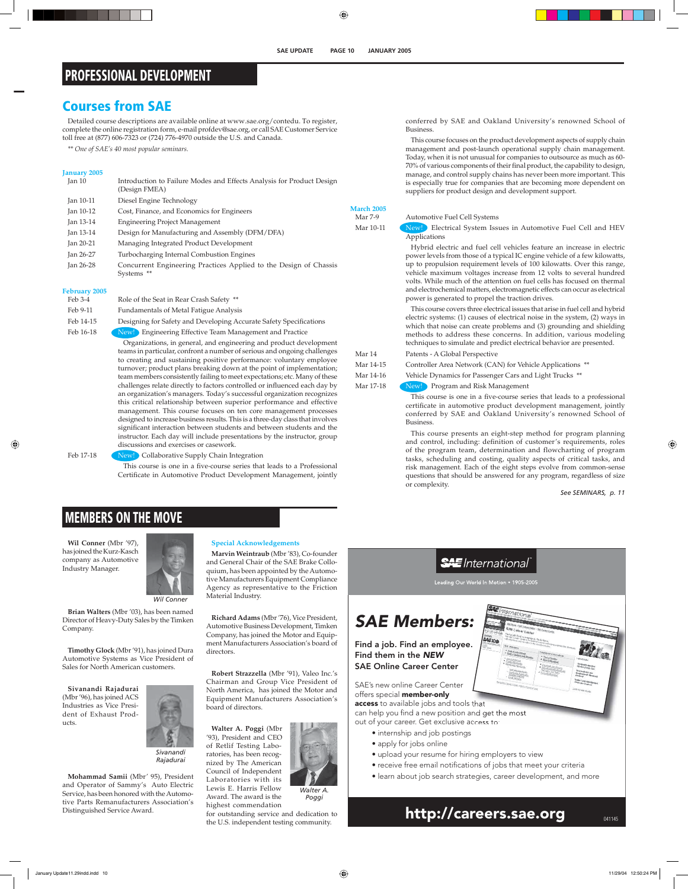## **PROFESSIONAL DEVELOPMENT**

### **Courses from SAE**

Detailed course descriptions are available online at www.sae.org/contedu. To register, complete the online registration form, e-mail profdev@sae.org, or call SAE Customer Service toll free at (877) 606-7323 or (724) 776-4970 outside the U.S. and Canada.

*\*\* One of SAE's 40 most popular seminars.*

#### **January 2005**

| Jan 10    | Introduction to Failure Modes and Effects Analysis for Product Design<br>(Design FMEA) |
|-----------|----------------------------------------------------------------------------------------|
| Jan 10-11 | Diesel Engine Technology                                                               |
| Jan 10-12 | Cost, Finance, and Economics for Engineers                                             |
| Jan 13-14 | <b>Engineering Project Management</b>                                                  |
| Jan 13-14 | Design for Manufacturing and Assembly (DFM/DFA)                                        |
| Jan 20-21 | Managing Integrated Product Development                                                |
| Jan 26-27 | Turbocharging Internal Combustion Engines                                              |
| Jan 26-28 | Concurrent Engineering Practices Applied to the Design of Chassis<br>Systems **        |

#### **February 2005**

| Feb 3-4       | Role of the Seat in Rear Crash Safety **                           |
|---------------|--------------------------------------------------------------------|
| Feb 9-11      | Fundamentals of Metal Fatigue Analysis                             |
| Feb 14-15     | Designing for Safety and Developing Accurate Safety Specifications |
| $L_0 h$ 16 10 | Noul Engineering Effective Team Management and Practice            |

16-18 New! Engineering Effective Team Management and Practice

Organizations, in general, and engineering and product development teams in particular, confront a number of serious and ongoing challenges to creating and sustaining positive performance: voluntary employee turnover; product plans breaking down at the point of implementation; team members consistently failing to meet expectations; etc. Many of these challenges relate directly to factors controlled or influenced each day by an organization's managers. Today's successful organization recognizes this critical relationship between superior performance and effective management. This course focuses on ten core management processes designed to increase business results. This is a three-day class that involves significant interaction between students and between students and the instructor. Each day will include presentations by the instructor, group discussions and exercises or casework.

Feb 17-18 **New!** Collaborative Supply Chain Integration This course is one in a five-course series that leads to a Professional

Certificate in Automotive Product Development Management, jointly

## **MEMBERS ON THE MOVE**

**Wil Conner** (Mbr '97), has joined the Kurz-Kasch company as Automotive Industry Manager.



*Wil Conner*

**Brian Walters** (Mbr '03), has been named Director of Heavy-Duty Sales by the Timken Company.

**Timothy Glock** (Mbr '91), has joined Dura Automotive Systems as Vice President of Sales for North American customers.

**Sivanandi Rajadurai** (Mbr '96), has joined ACS Industries as Vice President of Exhaust Products.



*Sivanandi Rajadurai*

**Mohammad Samii** (Mbr' 95), President and Operator of Sammy's Auto Electric Service, has been honored with the Automotive Parts Remanufacturers Association's Distinguished Service Award.

#### **Special Acknowledgements**

**Marvin Weintraub** (Mbr '83), Co-founder and General Chair of the SAE Brake Colloquium, has been appointed by the Automotive Manufacturers Equipment Compliance Agency as representative to the Friction Material Industry.

**Richard Adams** (Mbr '76), Vice President, Automotive Business Development, Timken Company, has joined the Motor and Equipment Manufacturers Association's board of directors.

**Robert Strazzella** (Mbr '91), Valeo Inc.'s Chairman and Group Vice President of North America, has joined the Motor and Equipment Manufacturers Association's board of directors.

**Walter A. Poggi** (Mbr '93), President and CEO of Retlif Testing Laboratories, has been recognized by The American Council of Independent Laboratories with its Lewis E. Harris Fellow

Award. The award is the highest commendation

for outstanding service and dedication to the U.S. independent testing community.

*Walter A. Poggi*

conferred by SAE and Oakland University's renowned School of **Business** 

This course focuses on the product development aspects of supply chain management and post-launch operational supply chain management. Today, when it is not unusual for companies to outsource as much as 60- 70% of various components of their final product, the capability to design, manage, and control supply chains has never been more important. This is especially true for companies that are becoming more dependent on suppliers for product design and development support.

**March 2005** 

#### Mar 7-9 Automotive Fuel Cell Systems

Mar 10-11 New! Electrical System Issues in Automotive Fuel Cell and HEV Applications

> Hybrid electric and fuel cell vehicles feature an increase in electric power levels from those of a typical IC engine vehicle of a few kilowatts, up to propulsion requirement levels of 100 kilowatts. Over this range, vehicle maximum voltages increase from 12 volts to several hundred volts. While much of the attention on fuel cells has focused on thermal and electrochemical matters, electromagnetic effects can occur as electrical power is generated to propel the traction drives.

> This course covers three electrical issues that arise in fuel cell and hybrid electric systems: (1) causes of electrical noise in the system, (2) ways in which that noise can create problems and (3) grounding and shielding methods to address these concerns. In addition, various modeling techniques to simulate and predict electrical behavior are presented.

### Mar 14 Patents - A Global Perspective

Mar 14-15 Controller Area Network (CAN) for Vehicle Applications \*\*

Mar 14-16 Vehicle Dynamics for Passenger Cars and Light Trucks \*\*

Mar 17-18 New! Program and Risk Management

This course is one in a five-course series that leads to a professional certificate in automotive product development management, jointly conferred by SAE and Oakland University's renowned School of Business.

This course presents an eight-step method for program planning and control, including: definition of customer's requirements, roles of the program team, determination and flowcharting of program tasks, scheduling and costing, quality aspects of critical tasks, and risk management. Each of the eight steps evolve from common-sense questions that should be answered for any program, regardless of size or complexity.

*See SEMINARS, p. 11*

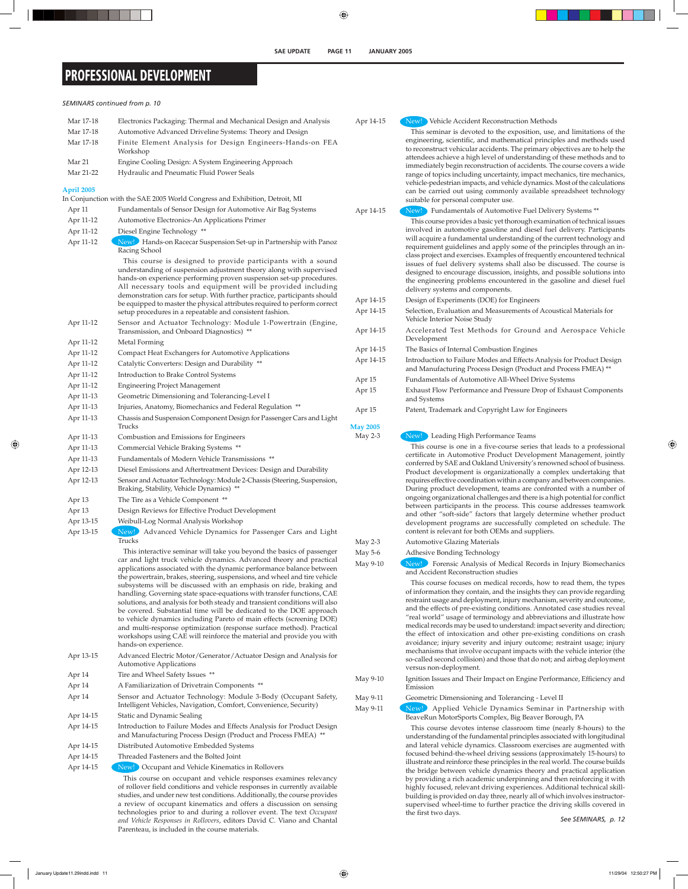## **PROFESSIONAL DEVELOPMENT**

*SEMINARS continued from p. 10*

**April 2005** 

| April 2005 |                                                                                                                                                                                                                                                                                                                                                                                                                                                                                                                                                                                                                                                                                                                                                                                                                                                       |
|------------|-------------------------------------------------------------------------------------------------------------------------------------------------------------------------------------------------------------------------------------------------------------------------------------------------------------------------------------------------------------------------------------------------------------------------------------------------------------------------------------------------------------------------------------------------------------------------------------------------------------------------------------------------------------------------------------------------------------------------------------------------------------------------------------------------------------------------------------------------------|
|            | In Conjunction with the SAE 2005 World Congress and Exhibition, Detroit, MI                                                                                                                                                                                                                                                                                                                                                                                                                                                                                                                                                                                                                                                                                                                                                                           |
| Apr 11     | Fundamentals of Sensor Design for Automotive Air Bag Systems                                                                                                                                                                                                                                                                                                                                                                                                                                                                                                                                                                                                                                                                                                                                                                                          |
| Apr 11-12  | Automotive Electronics-An Applications Primer                                                                                                                                                                                                                                                                                                                                                                                                                                                                                                                                                                                                                                                                                                                                                                                                         |
| Apr 11-12  | Diesel Engine Technology **                                                                                                                                                                                                                                                                                                                                                                                                                                                                                                                                                                                                                                                                                                                                                                                                                           |
| Apr 11-12  | New! Hands-on Racecar Suspension Set-up in Partnership with Panoz<br>Racing School                                                                                                                                                                                                                                                                                                                                                                                                                                                                                                                                                                                                                                                                                                                                                                    |
|            | This course is designed to provide participants with a sound<br>understanding of suspension adjustment theory along with supervised<br>hands-on experience performing proven suspension set-up procedures.<br>All necessary tools and equipment will be provided including<br>demonstration cars for setup. With further practice, participants should<br>be equipped to master the physical attributes required to perform correct<br>setup procedures in a repeatable and consistent fashion.                                                                                                                                                                                                                                                                                                                                                       |
| Apr 11-12  | Sensor and Actuator Technology: Module 1-Powertrain (Engine,<br>Transmission, and Onboard Diagnostics) **                                                                                                                                                                                                                                                                                                                                                                                                                                                                                                                                                                                                                                                                                                                                             |
| Apr 11-12  | Metal Forming                                                                                                                                                                                                                                                                                                                                                                                                                                                                                                                                                                                                                                                                                                                                                                                                                                         |
| Apr 11-12  | Compact Heat Exchangers for Automotive Applications                                                                                                                                                                                                                                                                                                                                                                                                                                                                                                                                                                                                                                                                                                                                                                                                   |
| Apr 11-12  | Catalytic Converters: Design and Durability **                                                                                                                                                                                                                                                                                                                                                                                                                                                                                                                                                                                                                                                                                                                                                                                                        |
| Apr 11-12  | Introduction to Brake Control Systems                                                                                                                                                                                                                                                                                                                                                                                                                                                                                                                                                                                                                                                                                                                                                                                                                 |
| Apr 11-12  | <b>Engineering Project Management</b>                                                                                                                                                                                                                                                                                                                                                                                                                                                                                                                                                                                                                                                                                                                                                                                                                 |
| Apr 11-13  | Geometric Dimensioning and Tolerancing-Level I                                                                                                                                                                                                                                                                                                                                                                                                                                                                                                                                                                                                                                                                                                                                                                                                        |
| Apr 11-13  | Injuries, Anatomy, Biomechanics and Federal Regulation **                                                                                                                                                                                                                                                                                                                                                                                                                                                                                                                                                                                                                                                                                                                                                                                             |
| Apr 11-13  | Chassis and Suspension Component Design for Passenger Cars and Light<br>Trucks                                                                                                                                                                                                                                                                                                                                                                                                                                                                                                                                                                                                                                                                                                                                                                        |
| Apr 11-13  | Combustion and Emissions for Engineers                                                                                                                                                                                                                                                                                                                                                                                                                                                                                                                                                                                                                                                                                                                                                                                                                |
| Apr 11-13  | Commercial Vehicle Braking Systems **                                                                                                                                                                                                                                                                                                                                                                                                                                                                                                                                                                                                                                                                                                                                                                                                                 |
| Apr 11-13  | Fundamentals of Modern Vehicle Transmissions **                                                                                                                                                                                                                                                                                                                                                                                                                                                                                                                                                                                                                                                                                                                                                                                                       |
| Apr 12-13  | Diesel Emissions and Aftertreatment Devices: Design and Durability                                                                                                                                                                                                                                                                                                                                                                                                                                                                                                                                                                                                                                                                                                                                                                                    |
| Apr 12-13  | Sensor and Actuator Technology: Module 2-Chassis (Steering, Suspension,<br>Braking, Stability, Vehicle Dynamics) **                                                                                                                                                                                                                                                                                                                                                                                                                                                                                                                                                                                                                                                                                                                                   |
| Apr 13     | The Tire as a Vehicle Component **                                                                                                                                                                                                                                                                                                                                                                                                                                                                                                                                                                                                                                                                                                                                                                                                                    |
| Apr 13     | Design Reviews for Effective Product Development                                                                                                                                                                                                                                                                                                                                                                                                                                                                                                                                                                                                                                                                                                                                                                                                      |
| Apr 13-15  | Weibull-Log Normal Analysis Workshop                                                                                                                                                                                                                                                                                                                                                                                                                                                                                                                                                                                                                                                                                                                                                                                                                  |
| Apr 13-15  | New! Advanced Vehicle Dynamics for Passenger Cars and Light<br>Trucks                                                                                                                                                                                                                                                                                                                                                                                                                                                                                                                                                                                                                                                                                                                                                                                 |
|            | This interactive seminar will take you beyond the basics of passenger<br>car and light truck vehicle dynamics. Advanced theory and practical<br>applications associated with the dynamic performance balance between<br>the powertrain, brakes, steering, suspensions, and wheel and tire vehicle<br>subsystems will be discussed with an emphasis on ride, braking and<br>handling. Governing state space-equations with transfer functions, CAE<br>solutions, and analysis for both steady and transient conditions will also<br>be covered. Substantial time will be dedicated to the DOE approach<br>to vehicle dynamics including Pareto of main effects (screening DOE)<br>and multi-response optimization (response surface method). Practical<br>workshops using CAE will reinforce the material and provide you with<br>hands-on experience. |
| Apr 13-15  | Advanced Electric Motor/Generator/Actuator Design and Analysis for<br><b>Automotive Applications</b>                                                                                                                                                                                                                                                                                                                                                                                                                                                                                                                                                                                                                                                                                                                                                  |

Apr 14 Tire and Wheel Safety Issues \*\*

- Apr 14 A Familiarization of Drivetrain Components \*\*
- Apr 14 Sensor and Actuator Technology: Module 3-Body (Occupant Safety, Intelligent Vehicles, Navigation, Comfort, Convenience, Security)

Apr 14-15 Static and Dynamic Sealing

- Apr 14-15 Introduction to Failure Modes and Effects Analysis for Product Design and Manufacturing Process Design (Product and Process FMEA) \*\*
- Apr 14-15 Distributed Automotive Embedded Systems
- Apr 14-15 Threaded Fasteners and the Bolted Joint
- Apr 14-15 New! Occupant and Vehicle Kinematics in Rollovers

This course on occupant and vehicle responses examines relevancy of rollover field conditions and vehicle responses in currently available studies, and under new test conditions. Additionally, the course provides a review of occupant kinematics and offers a discussion on sensing technologies prior to and during a rollover event. The text *Occupant and Vehicle Responses in Rollovers*, editors David C. Viano and Chantal Parenteau, is included in the course materials.

#### Apr 14-15 New! Vehicle Accident Reconstruction Methods

This seminar is devoted to the exposition, use, and limitations of the engineering, scientific, and mathematical principles and methods used to reconstruct vehicular accidents. The primary objectives are to help the attendees achieve a high level of understanding of these methods and to immediately begin reconstruction of accidents. The course covers a wide range of topics including uncertainty, impact mechanics, tire mechanics, vehicle-pedestrian impacts, and vehicle dynamics. Most of the calculations can be carried out using commonly available spreadsheet technology suitable for personal computer use.

Apr 14-15 New! Fundamentals of Automotive Fuel Delivery Systems \*\*

This course provides a basic yet thorough examination of technical issues involved in automotive gasoline and diesel fuel delivery. Participants will acquire a fundamental understanding of the current technology and requirement guidelines and apply some of the principles through an inclass project and exercises. Examples of frequently encountered technical issues of fuel delivery systems shall also be discussed. The course is designed to encourage discussion, insights, and possible solutions into the engineering problems encountered in the gasoline and diesel fuel delivery systems and components.

- Apr 14-15 Design of Experiments (DOE) for Engineers Apr 14-15 Selection, Evaluation and Measurements of Acoustical Materials for Vehicle Interior Noise Study Apr 14-15 Accelerated Test Methods for Ground and Aerospace Vehicle Development Apr 14-15 The Basics of Internal Combustion Engines
- Apr 14-15 Introduction to Failure Modes and Effects Analysis for Product Design and Manufacturing Process Design (Product and Process FMEA) \*\* Apr 15 Fundamentals of Automotive All-Wheel Drive Systems
- Apr 15 Exhaust Flow Performance and Pressure Drop of Exhaust Components and Systems
- Apr 15 Patent, Trademark and Copyright Law for Engineers

**May 2005** 

May 2-3 New! Leading High Performance Teams

This course is one in a five-course series that leads to a professional certificate in Automotive Product Development Management, jointly conferred by SAE and Oakland University's renowned school of business. Product development is organizationally a complex undertaking that requires effective coordination within a company and between companies. During product development, teams are confronted with a number of ongoing organizational challenges and there is a high potential for conflict between participants in the process. This course addresses teamwork and other "soft-side" factors that largely determine whether product development programs are successfully completed on schedule. The content is relevant for both OEMs and suppliers.

May 2-3 Automotive Glazing Materials

May 5-6 Adhesive Bonding Technology

May 9-10 New! Forensic Analysis of Medical Records in Injury Biomechanics and Accident Reconstruction studies

> This course focuses on medical records, how to read them, the types of information they contain, and the insights they can provide regarding restraint usage and deployment, injury mechanism, severity and outcome, and the effects of pre-existing conditions. Annotated case studies reveal "real world" usage of terminology and abbreviations and illustrate how medical records may be used to understand: impact severity and direction; the effect of intoxication and other pre-existing conditions on crash avoidance; injury severity and injury outcome; restraint usage; injury mechanisms that involve occupant impacts with the vehicle interior (the so-called second collision) and those that do not; and airbag deployment versus non-deployment.

- May 9-10 Ignition Issues and Their Impact on Engine Performance, Efficiency and Emission
- May 9-11 Geometric Dimensioning and Tolerancing Level II

May 9-11 New! Applied Vehicle Dynamics Seminar in Partnership with BeaveRun MotorSports Complex, Big Beaver Borough, PA This course devotes intense classroom time (nearly 8-hours) to the

understanding of the fundamental principles associated with longitudinal and lateral vehicle dynamics. Classroom exercises are augmented with focused behind-the-wheel driving sessions (approximately 15-hours) to illustrate and reinforce these principles in the real world. The course builds the bridge between vehicle dynamics theory and practical application by providing a rich academic underpinning and then reinforcing it with highly focused, relevant driving experiences. Additional technical skillbuilding is provided on day three, nearly all of which involves instructorsupervised wheel-time to further practice the driving skills covered in the first two days.